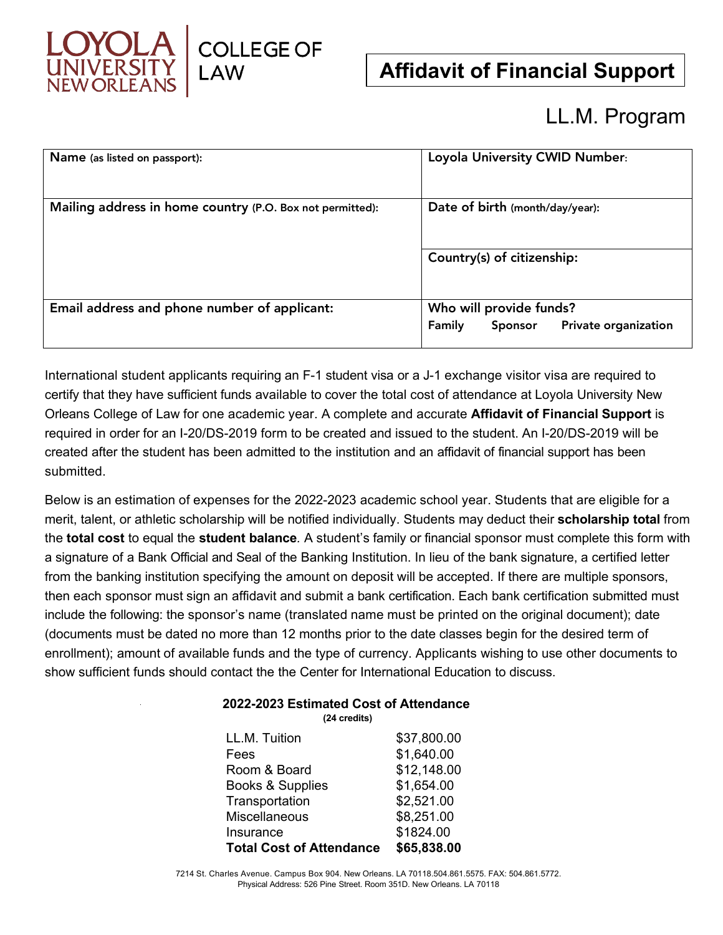

**Affidavit of Financial Support**

# LL.M. Program

| Name (as listed on passport):                             | Loyola University CWID Number:                                       |  |  |  |  |  |
|-----------------------------------------------------------|----------------------------------------------------------------------|--|--|--|--|--|
| Mailing address in home country (P.O. Box not permitted): | Date of birth (month/day/year):                                      |  |  |  |  |  |
|                                                           | Country(s) of citizenship:                                           |  |  |  |  |  |
| Email address and phone number of applicant:              | Who will provide funds?<br>Family<br>Private organization<br>Sponsor |  |  |  |  |  |

International student applicants requiring an F-1 student visa or a J-1 exchange visitor visa are required to certify that they have sufficient funds available to cover the total cost of attendance at Loyola University New Orleans College of Law for one academic year. A complete and accurate **Affidavit of Financial Support** is required in order for an I-20/DS-2019 form to be created and issued to the student. An I-20/DS-2019 will be created after the student has been admitted to the institution and an affidavit of financial support has been submitted.

Below is an estimation of expenses for the 2022-2023 academic school year. Students that are eligible for a merit, talent, or athletic scholarship will be notified individually. Students may deduct their **scholarship total** from the **total cost** to equal the **student balance***.* A student's family or financial sponsor must complete this form with a signature of a Bank Official and Seal of the Banking Institution. In lieu of the bank signature, a certified letter from the banking institution specifying the amount on deposit will be accepted. If there are multiple sponsors, then each sponsor must sign an affidavit and submit a bank certification. Each bank certification submitted must include the following: the sponsor's name (translated name must be printed on the original document); date (documents must be dated no more than 12 months prior to the date classes begin for the desired term of enrollment); amount of available funds and the type of currency. Applicants wishing to use other documents to show sufficient funds should contact the the Center for International Education to discuss.

### **2022-2023 Estimated Cost of Attendance**

**(24 credits)**

| LL.M. Tuition                   | \$37,800.00 |
|---------------------------------|-------------|
| Fees                            | \$1,640.00  |
| Room & Board                    | \$12,148.00 |
| Books & Supplies                | \$1,654.00  |
| Transportation                  | \$2,521.00  |
| <b>Miscellaneous</b>            | \$8,251.00  |
| Insurance                       | \$1824.00   |
| <b>Total Cost of Attendance</b> | \$65,838.00 |